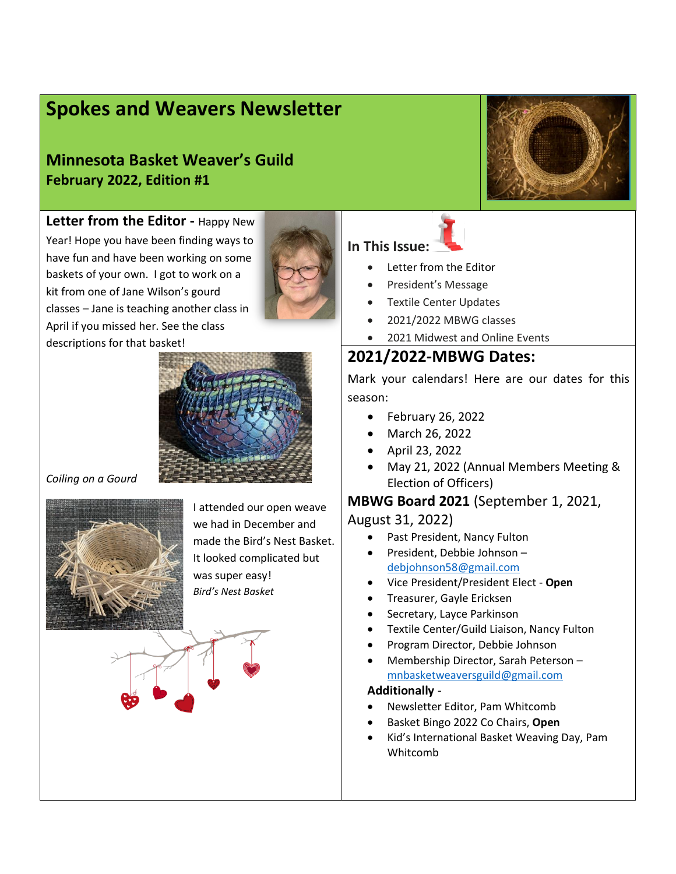# **Spokes and Weavers Newsletter**

**Minnesota Basket Weaver's Guild February 2022, Edition #1**



**Letter from the Editor -** Happy New Year! Hope you have been finding ways to have fun and have been working on some baskets of your own. I got to work on a kit from one of Jane Wilson's gourd classes – Jane is teaching another class in April if you missed her. See the class descriptions for that basket!





*Coiling on a Gourd* 



I attended our open weave we had in December and made the Bird's Nest Basket. It looked complicated but was super easy! *Bird's Nest Basket* 

### **In This Issue:**

- Letter from the Editor
- President's Message
- Textile Center Updates
- 2021/2022 MBWG classes
- 2021 Midwest and Online Events

### **2021/2022-MBWG Dates:**

Mark your calendars! Here are our dates for this season:

- February 26, 2022
- March 26, 2022
- April 23, 2022
- May 21, 2022 (Annual Members Meeting & Election of Officers)

#### **MBWG Board 2021** (September 1, 2021,

#### August 31, 2022)

- Past President, Nancy Fulton
- President, Debbie Johnson debjohnson58@gmail.com
- Vice President/President Elect **Open**
- Treasurer, Gayle Ericksen
- Secretary, Layce Parkinson
- Textile Center/Guild Liaison, Nancy Fulton
- Program Director, Debbie Johnson
- Membership Director, Sarah Peterson mnbasketweaversguild@gmail.com

#### **Additionally** -

- Newsletter Editor, Pam Whitcomb
- Basket Bingo 2022 Co Chairs, **Open**
- Kid's International Basket Weaving Day, Pam Whitcomb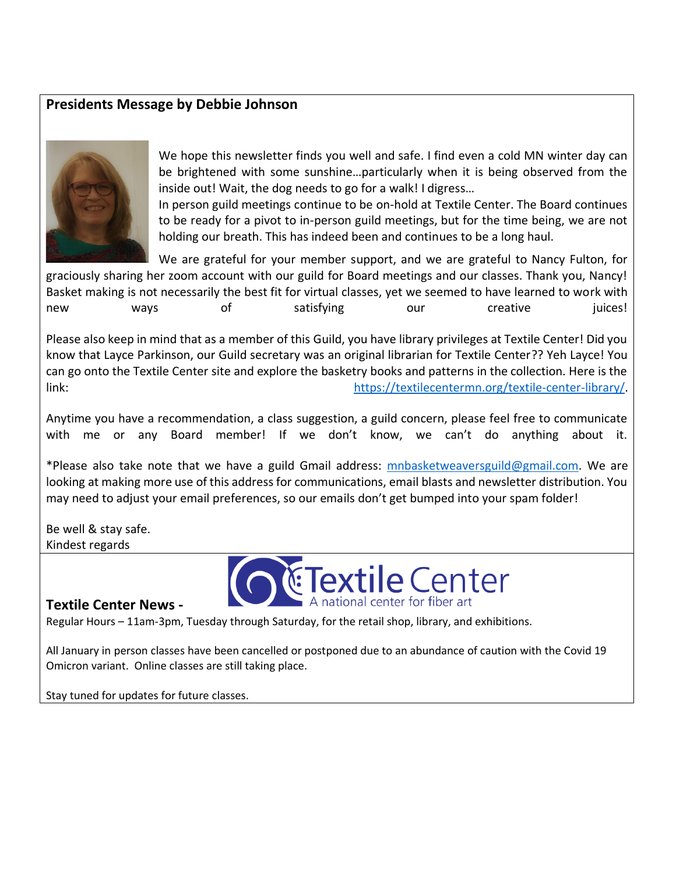### **Presidents Message by Debbie Johnson**



We hope this newsletter finds you well and safe. I find even a cold MN winter day can be brightened with some sunshine…particularly when it is being observed from the inside out! Wait, the dog needs to go for a walk! I digress…

In person guild meetings continue to be on-hold at Textile Center. The Board continues to be ready for a pivot to in-person guild meetings, but for the time being, we are not holding our breath. This has indeed been and continues to be a long haul.

We are grateful for your member support, and we are grateful to Nancy Fulton, for graciously sharing her zoom account with our guild for Board meetings and our classes. Thank you, Nancy! Basket making is not necessarily the best fit for virtual classes, yet we seemed to have learned to work with new ways of satisfying our creative juices!

Please also keep in mind that as a member of this Guild, you have library privileges at Textile Center! Did you know that Layce Parkinson, our Guild secretary was an original librarian for Textile Center?? Yeh Layce! You can go onto the Textile Center site and explore the basketry books and patterns in the collection. Here is the link: https://textilecentermn.org/textile-center-library/.

Anytime you have a recommendation, a class suggestion, a guild concern, please feel free to communicate with me or any Board member! If we don't know, we can't do anything about it.

\*Please also take note that we have a guild Gmail address: mnbasketweaversguild@gmail.com. We are looking at making more use of this address for communications, email blasts and newsletter distribution. You may need to adjust your email preferences, so our emails don't get bumped into your spam folder!

Be well & stay safe. Kindest regards



#### **Textile Center News -**

Regular Hours – 11am-3pm, Tuesday through Saturday, for the retail shop, library, and exhibitions.

All January in person classes have been cancelled or postponed due to an abundance of caution with the Covid 19 Omicron variant. Online classes are still taking place.

Stay tuned for updates for future classes.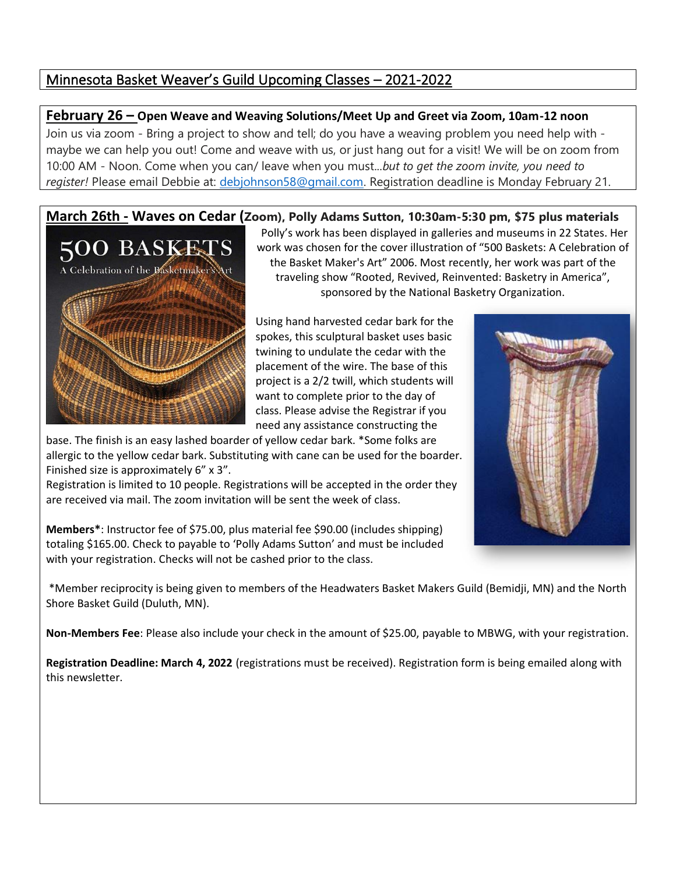### Minnesota Basket Weaver's Guild Upcoming Classes – 2021-2022

#### **February 26 – Open Weave and Weaving Solutions/Meet Up and Greet via Zoom, 10am-12 noon**

Join us via zoom - Bring a project to show and tell; do you have a weaving problem you need help with maybe we can help you out! Come and weave with us, or just hang out for a visit! We will be on zoom from 10:00 AM - Noon. Come when you can/ leave when you must...*but to get the zoom invite, you need to register!* Please email Debbie at: debjohnson58@gmail.com. Registration deadline is Monday February 21.

## **March 26th - Waves on Cedar (Zoom), Polly Adams Sutton, 10:30am-5:30 pm, \$75 plus materials**



Polly's work has been displayed in galleries and museums in 22 States. Her work was chosen for the cover illustration of "500 Baskets: A Celebration of the Basket Maker's Art" 2006. Most recently, her work was part of the traveling show "Rooted, Revived, Reinvented: Basketry in America", sponsored by the National Basketry Organization.

Using hand harvested cedar bark for the spokes, this sculptural basket uses basic twining to undulate the cedar with the placement of the wire. The base of this project is a 2/2 twill, which students will want to complete prior to the day of class. Please advise the Registrar if you need any assistance constructing the

base. The finish is an easy lashed boarder of yellow cedar bark. \*Some folks are allergic to the yellow cedar bark. Substituting with cane can be used for the boarder. Finished size is approximately 6" x 3".

Registration is limited to 10 people. Registrations will be accepted in the order they are received via mail. The zoom invitation will be sent the week of class.

**Members\***: Instructor fee of \$75.00, plus material fee \$90.00 (includes shipping) totaling \$165.00. Check to payable to 'Polly Adams Sutton' and must be included with your registration. Checks will not be cashed prior to the class.

\*Member reciprocity is being given to members of the Headwaters Basket Makers Guild (Bemidji, MN) and the North Shore Basket Guild (Duluth, MN).

**Non-Members Fee**: Please also include your check in the amount of \$25.00, payable to MBWG, with your registration.

**Registration Deadline: March 4, 2022** (registrations must be received). Registration form is being emailed along with this newsletter.

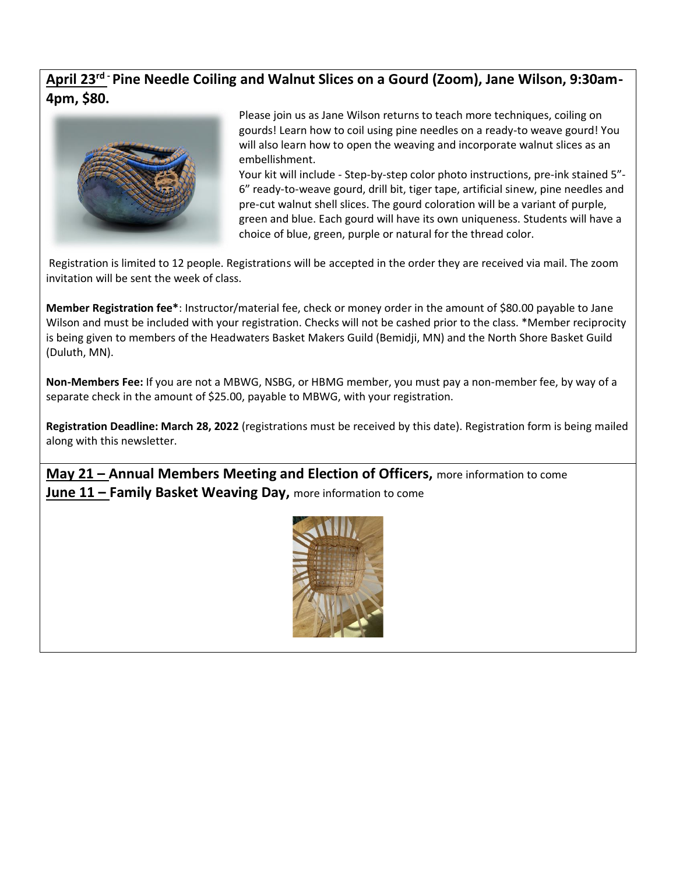### **April 23rd - Pine Needle Coiling and Walnut Slices on a Gourd (Zoom), Jane Wilson, 9:30am-4pm, \$80.**



Please join us as Jane Wilson returns to teach more techniques, coiling on gourds! Learn how to coil using pine needles on a ready-to weave gourd! You will also learn how to open the weaving and incorporate walnut slices as an embellishment.

Your kit will include - Step-by-step color photo instructions, pre-ink stained 5"- 6" ready-to-weave gourd, drill bit, tiger tape, artificial sinew, pine needles and pre-cut walnut shell slices. The gourd coloration will be a variant of purple, green and blue. Each gourd will have its own uniqueness. Students will have a choice of blue, green, purple or natural for the thread color.

Registration is limited to 12 people. Registrations will be accepted in the order they are received via mail. The zoom invitation will be sent the week of class.

**Member Registration fee\***: Instructor/material fee, check or money order in the amount of \$80.00 payable to Jane Wilson and must be included with your registration. Checks will not be cashed prior to the class. \*Member reciprocity is being given to members of the Headwaters Basket Makers Guild (Bemidji, MN) and the North Shore Basket Guild (Duluth, MN).

**Non-Members Fee:** If you are not a MBWG, NSBG, or HBMG member, you must pay a non-member fee, by way of a separate check in the amount of \$25.00, payable to MBWG, with your registration.

**Registration Deadline: March 28, 2022** (registrations must be received by this date). Registration form is being mailed along with this newsletter.

**May 21 – Annual Members Meeting and Election of Officers,** more information to come **June 11 – Family Basket Weaving Day,** more information to come